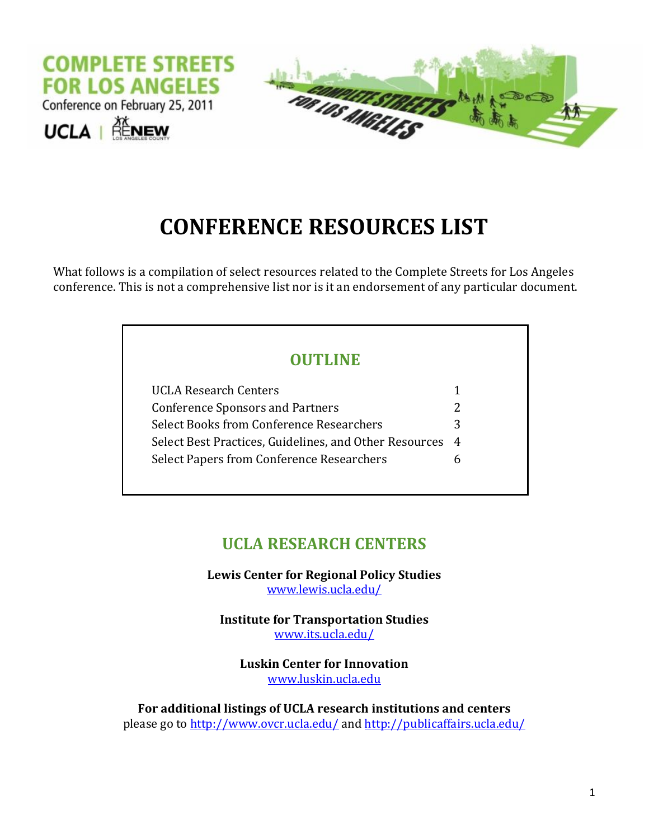

# **CONFERENCE RESOURCES LIST**

What follows is a compilation of select resources related to the Complete Streets for Los Angeles conference. This is not a comprehensive list nor is it an endorsement of any particular document.

### **OUTLINE**

| <b>UCLA Research Centers</b>                                |   |
|-------------------------------------------------------------|---|
| <b>Conference Sponsors and Partners</b>                     | 2 |
| Select Books from Conference Researchers                    | 3 |
| Select Best Practices, Guidelines, and Other Resources<br>4 |   |
| <b>Select Papers from Conference Researchers</b>            | n |

### **UCLA RESEARCH CENTERS**

**Lewis Center for Regional Policy Studies** [www.lewis.ucla.edu/](file:///C:/Documents%20and%20Settings/cpassistant.PAAD/Local%20Settings/Temporary%20Internet%20Files/Content.Outlook/R5NBATVO/www.lewis.ucla.edu/)

**Institute for Transportation Studies** [www.its.ucla.edu/](file:///C:/Documents%20and%20Settings/cpassistant.PAAD/Local%20Settings/Temporary%20Internet%20Files/Content.Outlook/R5NBATVO/www.its.ucla.edu/)

**Luskin Center for Innovation** [www.luskin.ucla.edu](file:///C:/Documents%20and%20Settings/cpassistant.PAAD/Local%20Settings/Temporary%20Internet%20Files/Content.Outlook/R5NBATVO/www.luskin.ucla.edu)

**For additional listings of UCLA research institutions and centers** please go to <http://www.ovcr.ucla.edu/> and<http://publicaffairs.ucla.edu/>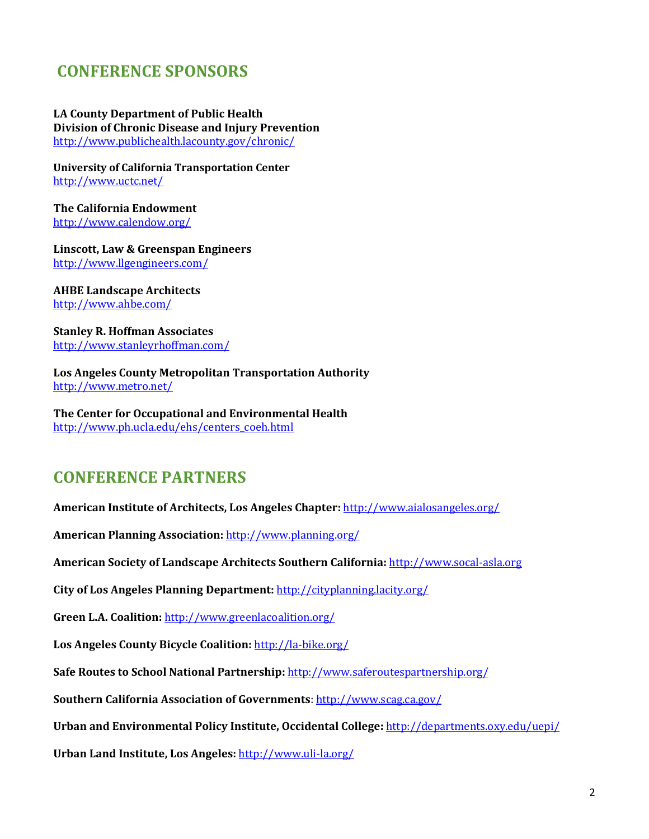### **CONFERENCE SPONSORS**

**LA County Department of Public Health Division of Chronic Disease and Injury Prevention**  <http://www.publichealth.lacounty.gov/chronic/>

**University of California Transportation Center** <http://www.uctc.net/>

**The California Endowment** <http://www.calendow.org/>

**Linscott, Law & Greenspan Engineers** <http://www.llgengineers.com/>

**AHBE Landscape Architects** <http://www.ahbe.com/>

**Stanley R. Hoffman Associates** <http://www.stanleyrhoffman.com/>

**Los Angeles County Metropolitan Transportation Authority** <http://www.metro.net/>

**The Center for Occupational and Environmental Health** [http://www.ph.ucla.edu/ehs/centers\\_coeh.html](http://www.ph.ucla.edu/ehs/centers_coeh.html)

### **CONFERENCE PARTNERS**

**American Institute of Architects, Los Angeles Chapter:** <http://www.aialosangeles.org/>

**American Planning Association:** <http://www.planning.org/>

**American Society of Landscape Architects Southern California:** [http://www.socal-asla.org](http://www.socal-asla.org/)

**City of Los Angeles Planning Department:** <http://cityplanning.lacity.org/>

**Green L.A. Coalition:** <http://www.greenlacoalition.org/>

**Los Angeles County Bicycle Coalition:** <http://la-bike.org/>

**Safe Routes to School National Partnership:** <http://www.saferoutespartnership.org/>

**Southern California Association of Governments**[: http://www.scag.ca.gov/](http://www.scag.ca.gov/)

**Urban and Environmental Policy Institute, Occidental College:** <http://departments.oxy.edu/uepi/>

**Urban Land Institute, Los Angeles:** <http://www.uli-la.org/>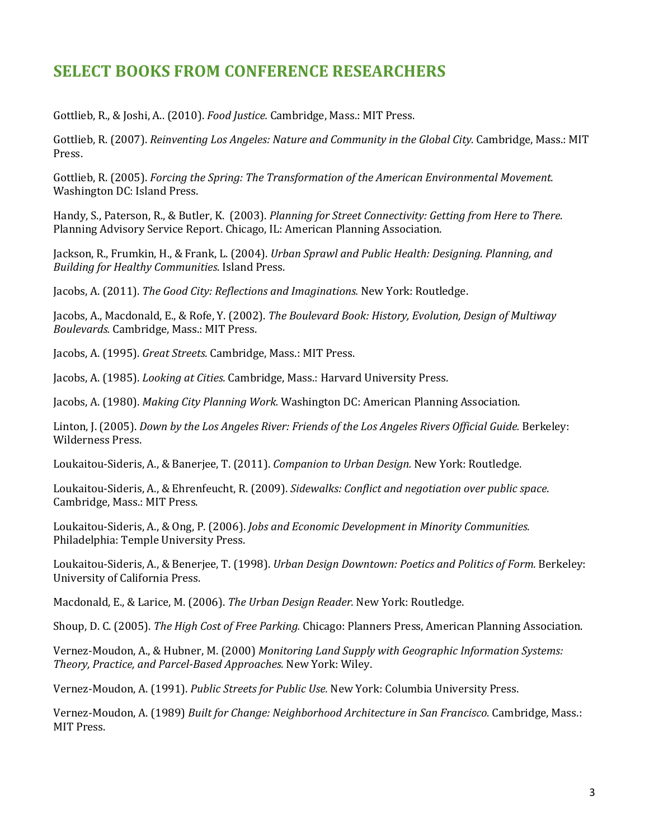### **SELECT BOOKS FROM CONFERENCE RESEARCHERS**

Gottlieb, R., & Joshi, A.. (2010). *Food Justice.* Cambridge, Mass.: MIT Press.

Gottlieb, R. (2007). *Reinventing Los Angeles: Nature and Community in the Global City.* Cambridge, Mass.: MIT Press.

Gottlieb, R. (2005). *Forcing the Spring: The Transformation of the American Environmental Movement.*  Washington DC: Island Press.

Handy, S., Paterson, R., & Butler, K. (2003). *Planning for Street Connectivity: Getting from Here to There*. Planning Advisory Service Report. Chicago, IL: American Planning Association.

Jackson, R., Frumkin, H., & Frank, L. (2004). *Urban Sprawl and Public Health: Designing. Planning, and Building for Healthy Communities*. Island Press.

Jacobs, A. (2011). *The Good City: Reflections and Imaginations.* New York: Routledge.

Jacobs, A., Macdonald, E., & Rofe, Y. (2002). *The Boulevard Book: History, Evolution, Design of Multiway Boulevards.* Cambridge, Mass.: MIT Press.

Jacobs, A. (1995). *Great Streets.* Cambridge, Mass.: MIT Press.

Jacobs, A. (1985). *Looking at Cities.* Cambridge, Mass.: Harvard University Press.

Jacobs, A. (1980). *Making City Planning Work.* Washington DC: American Planning Association.

Linton, J. (2005). *Down by the Los Angeles River: Friends of the Los Angeles Rivers Official Guide.* Berkeley: Wilderness Press.

Loukaitou-Sideris, A., & Banerjee, T. (2011). *Companion to Urban Design.* New York: Routledge.

Loukaitou-Sideris, A., & Ehrenfeucht, R. (2009). *Sidewalks: Conflict and negotiation over public space*. Cambridge, Mass.: MIT Press.

Loukaitou-Sideris, A., & Ong, P. (2006). *Jobs and Economic Development in Minority Communities.*  Philadelphia: Temple University Press.

Loukaitou-Sideris, A., & Benerjee, T. (1998). *Urban Design Downtown: Poetics and Politics of Form.* Berkeley: University of California Press.

Macdonald, E., & Larice, M. (2006). *The Urban Design Reader.* New York: Routledge.

Shoup, D. C. (2005). *The High Cost of Free Parking.* Chicago: Planners Press, American Planning Association.

Vernez-Moudon, A., & Hubner, M. (2000) *Monitoring Land Supply with Geographic Information Systems: Theory, Practice, and Parcel-Based Approaches.* New York: Wiley.

Vernez-Moudon, A. (1991). *Public Streets for Public Use.* New York: Columbia University Press.

Vernez-Moudon, A. (1989) *Built for Change: Neighborhood Architecture in San Francisco.* Cambridge, Mass.: MIT Press.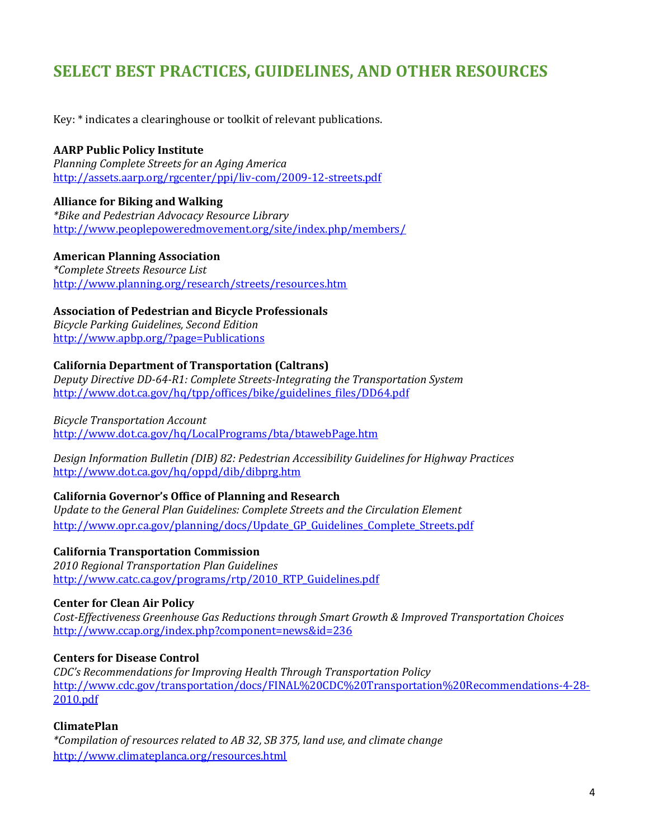### **SELECT BEST PRACTICES, GUIDELINES, AND OTHER RESOURCES**

Key: \* indicates a clearinghouse or toolkit of relevant publications.

#### **AARP Public Policy Institute**

*Planning Complete Streets for an Aging America* <http://assets.aarp.org/rgcenter/ppi/liv-com/2009-12-streets.pdf>

#### **Alliance for Biking and Walking**

*\*Bike and Pedestrian Advocacy Resource Library* <http://www.peoplepoweredmovement.org/site/index.php/members/>

#### **American Planning Association**

*\*Complete Streets Resource List* <http://www.planning.org/research/streets/resources.htm>

#### **Association of Pedestrian and Bicycle Professionals**

*Bicycle Parking Guidelines, Second Edition* <http://www.apbp.org/?page=Publications>

#### **California Department of Transportation (Caltrans)**

*Deputy Directive DD-64-R1: Complete Streets-Integrating the Transportation System* [http://www.dot.ca.gov/hq/tpp/offices/bike/guidelines\\_files/DD64.pdf](http://www.dot.ca.gov/hq/tpp/offices/bike/guidelines_files/DD64.pdf)

#### *Bicycle Transportation Account*

<http://www.dot.ca.gov/hq/LocalPrograms/bta/btawebPage.htm>

*Design Information Bulletin (DIB) 82: Pedestrian Accessibility Guidelines for Highway Practices* <http://www.dot.ca.gov/hq/oppd/dib/dibprg.htm>

#### **California Governor's Office of Planning and Research**

*Update to the General Plan Guidelines: Complete Streets and the Circulation Element* [http://www.opr.ca.gov/planning/docs/Update\\_GP\\_Guidelines\\_Complete\\_Streets.pdf](http://www.opr.ca.gov/planning/docs/Update_GP_Guidelines_Complete_Streets.pdf)

#### **California Transportation Commission**

*2010 Regional Transportation Plan Guidelines*  [http://www.catc.ca.gov/programs/rtp/2010\\_RTP\\_Guidelines.pdf](http://www.catc.ca.gov/programs/rtp/2010_RTP_Guidelines.pdf)

#### **Center for Clean Air Policy**

*Cost-Effectiveness Greenhouse Gas Reductions through Smart Growth & Improved Transportation Choices* [http://www.ccap.org/index.php?component=news&id=236](http://www.ccap.org/index.php?component=news&id=236%20)

#### **Centers for Disease Control**

*CDC's Recommendations for Improving Health Through Transportation Policy* [http://www.cdc.gov/transportation/docs/FINAL%20CDC%20Transportation%20Recommendations-4-28-](http://www.cdc.gov/transportation/docs/FINAL%20CDC%20Transportation%20Recommendations-4-28-2010.pdf) [2010.pdf](http://www.cdc.gov/transportation/docs/FINAL%20CDC%20Transportation%20Recommendations-4-28-2010.pdf)

#### **ClimatePlan**

*\*Compilation of resources related to AB 32, SB 375, land use, and climate change* <http://www.climateplanca.org/resources.html>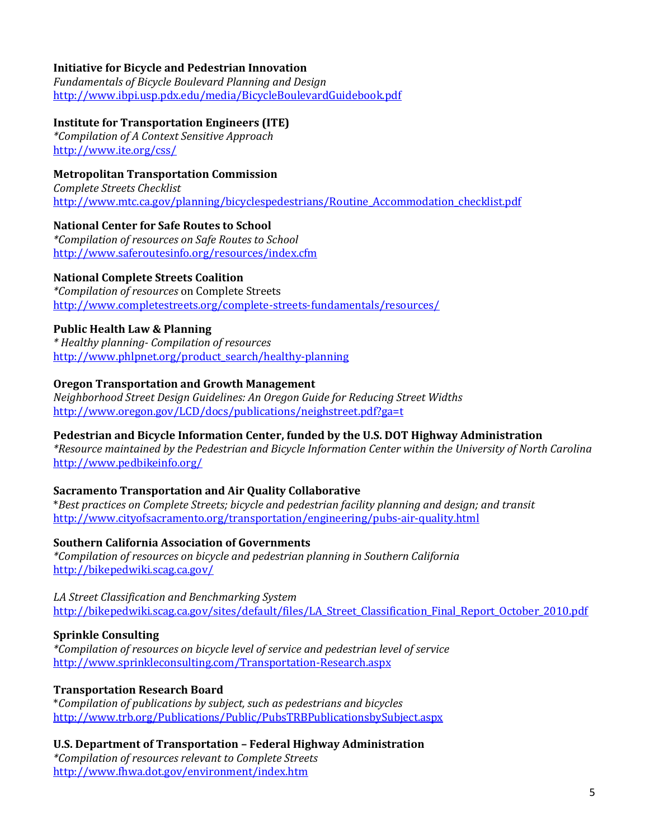#### **Initiative for Bicycle and Pedestrian Innovation**

*Fundamentals of Bicycle Boulevard Planning and Design* <http://www.ibpi.usp.pdx.edu/media/BicycleBoulevardGuidebook.pdf>

#### **Institute for Transportation Engineers (ITE)**

*\*Compilation of A Context Sensitive Approach* <http://www.ite.org/css/>

#### **Metropolitan Transportation Commission**

*Complete Streets Checklist* [http://www.mtc.ca.gov/planning/bicyclespedestrians/Routine\\_Accommodation\\_checklist.pdf](http://www.mtc.ca.gov/planning/bicyclespedestrians/Routine_Accommodation_checklist.pdf)

#### **National Center for Safe Routes to School**

*\*Compilation of resources on Safe Routes to School* <http://www.saferoutesinfo.org/resources/index.cfm>

#### **National Complete Streets Coalition**

*\*Compilation of resources* on Complete Streets <http://www.completestreets.org/complete-streets-fundamentals/resources/>

#### **Public Health Law & Planning**

*\* Healthy planning- Compilation of resources*  [http://www.phlpnet.org/product\\_search/healthy-planning](http://www.phlpnet.org/product_search/healthy-planning)

#### **Oregon Transportation and Growth Management**

*Neighborhood Street Design Guidelines: An Oregon Guide for Reducing Street Widths*  <http://www.oregon.gov/LCD/docs/publications/neighstreet.pdf?ga=t>

#### **Pedestrian and Bicycle Information Center, funded by the U.S. DOT Highway Administration**

*\*Resource maintained by the Pedestrian and Bicycle Information Center within th[e University of North Carolina](http://www.hsrc.unc.edu/)* <http://www.pedbikeinfo.org/>

#### **Sacramento Transportation and Air Quality Collaborative**

\**Best practices on Complete Streets; bicycle and pedestrian facility planning and design; and transit* <http://www.cityofsacramento.org/transportation/engineering/pubs-air-quality.html>

#### **Southern California Association of Governments**

*\*Compilation of resources on bicycle and pedestrian planning in Southern California* <http://bikepedwiki.scag.ca.gov/>

*LA Street Classification and Benchmarking System*  [http://bikepedwiki.scag.ca.gov/sites/default/files/LA\\_Street\\_Classification\\_Final\\_Report\\_October\\_2010.pdf](http://bikepedwiki.scag.ca.gov/sites/default/files/LA_Street_Classification_Final_Report_October_2010.pdf)

#### **Sprinkle Consulting**

*\*Compilation of resources on bicycle level of service and pedestrian level of service* <http://www.sprinkleconsulting.com/Transportation-Research.aspx>

#### **Transportation Research Board**

\**Compilation of publications by subject, such as pedestrians and bicycles* <http://www.trb.org/Publications/Public/PubsTRBPublicationsbySubject.aspx>

#### **U.S. Department of Transportation – Federal Highway Administration**

*\*Compilation of resources relevant to Complete Streets* <http://www.fhwa.dot.gov/environment/index.htm>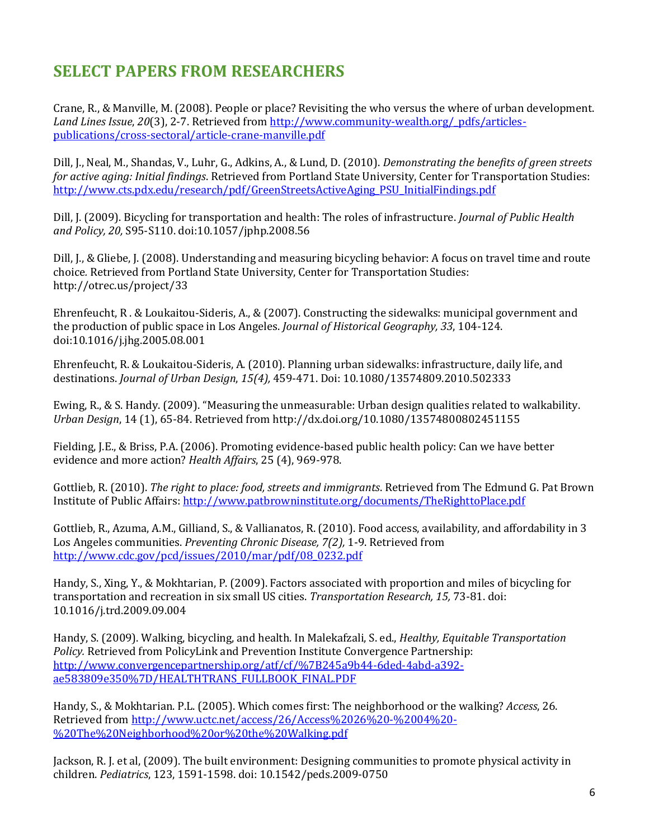## **SELECT PAPERS FROM RESEARCHERS**

Crane, R., & Manville, M. (2008). People or place? Revisiting the who versus the where of urban development. *Land Lines Issue*, *20*(3), 2-7. Retrieved fro[m http://www.community-wealth.org/\\_pdfs/articles](http://www.community-wealth.org/_pdfs/articles-publications/cross-sectoral/article-crane-manville.pdf)[publications/cross-sectoral/article-crane-manville.pdf](http://www.community-wealth.org/_pdfs/articles-publications/cross-sectoral/article-crane-manville.pdf)

Dill, J., Neal, M., Shandas, V., Luhr, G., Adkins, A., & Lund, D. (2010). *Demonstrating the benefits of green streets for active aging: Initial findings*. Retrieved from Portland State University, Center for Transportation Studies: [http://www.cts.pdx.edu/research/pdf/GreenStreetsActiveAging\\_PSU\\_InitialFindings.pdf](http://www.cts.pdx.edu/research/pdf/GreenStreetsActiveAging_PSU_InitialFindings.pdf)

Dill, J. (2009). Bicycling for transportation and health: The roles of infrastructure. *Journal of Public Health and Policy, 20,* S95-S110. doi:10.1057/jphp.2008.56

Dill, J., & Gliebe, J. (2008). Understanding and measuring bicycling behavior: A focus on travel time and route choice*.* Retrieved from Portland State University, Center for Transportation Studies: <http://otrec.us/project/33>

Ehrenfeucht, R . & Loukaitou-Sideris, A., & (2007). Constructing the sidewalks: municipal government and the production of public space in Los Angeles. *Journal of Historical Geography, 33*, 104-124. doi:10.1016/j.jhg.2005.08.001

Ehrenfeucht, R. & Loukaitou-Sideris, A. (2010). Planning urban sidewalks: infrastructure, daily life, and destinations. *Journal of Urban Design*, *15(4),* 459-471. Doi: 10.1080/13574809.2010.502333

Ewing, R., & S. Handy. (2009). "Measuring the unmeasurable: Urban design qualities related to walkability. *Urban Design*, 14 (1), 65-84. Retrieved from <http://dx.doi.org/10.1080/13574800802451155>

Fielding, J.E., & Briss, P.A. (2006). Promoting evidence-based public health policy: Can we have better evidence and more action? *Health Affairs*, 25 (4), 969-978.

Gottlieb, R. (2010). *The right to place: food, streets and immigrants*. Retrieved from The Edmund G. Pat Brown Institute of Public Affairs[: http://www.patbrowninstitute.org/documents/TheRighttoPlace.pdf](http://www.patbrowninstitute.org/documents/TheRighttoPlace.pdf)

Gottlieb, R., Azuma, A.M., Gilliand, S., & Vallianatos, R. (2010). Food access, availability, and affordability in 3 Los Angeles communities. *Preventing Chronic Disease, 7(2),* 1-9. Retrieved from [http://www.cdc.gov/pcd/issues/2010/mar/pdf/08\\_0232.pdf](http://www.cdc.gov/pcd/issues/2010/mar/pdf/08_0232.pdf)

Handy, S., Xing, Y., & Mokhtarian, P. (2009). Factors associated with proportion and miles of bicycling for transportation and recreation in six small US cities. *Transportation Research, 15,* 73-81. doi: 10.1016/j.trd.2009.09.004

Handy, S. (2009). Walking, bicycling, and health. In Malekafzali, S. ed., *Healthy, Equitable Transportation Policy.* Retrieved from PolicyLink and Prevention Institute Convergence Partnership: [http://www.convergencepartnership.org/atf/cf/%7B245a9b44-6ded-4abd-a392](http://www.convergencepartnership.org/atf/cf/%7B245a9b44-6ded-4abd-a392-ae583809e350%7D/HEALTHTRANS_FULLBOOK_FINAL.PDF) [ae583809e350%7D/HEALTHTRANS\\_FULLBOOK\\_FINAL.PDF](http://www.convergencepartnership.org/atf/cf/%7B245a9b44-6ded-4abd-a392-ae583809e350%7D/HEALTHTRANS_FULLBOOK_FINAL.PDF)

Handy, S., & Mokhtarian. P.L. (2005). Which comes first: The neighborhood or the walking? *Access*, 26. Retrieved from [http://www.uctc.net/access/26/Access%2026%20-%2004%20-](http://www.uctc.net/access/26/Access%2026%20-%2004%20-%20The%20Neighborhood%20or%20the%20Walking.pdf) [%20The%20Neighborhood%20or%20the%20Walking.pdf](http://www.uctc.net/access/26/Access%2026%20-%2004%20-%20The%20Neighborhood%20or%20the%20Walking.pdf)

Jackson, R. J. et al, (2009). The built environment: Designing communities to promote physical activity in children. *Pediatrics*, 123, 1591-1598. doi: 10.1542/peds.2009-0750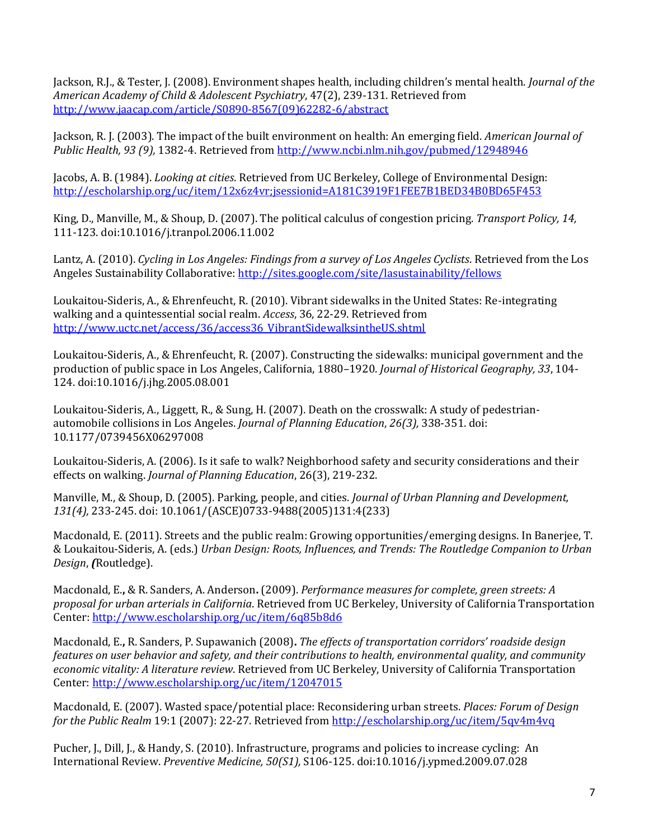Jackson, R.J., & Tester, J. (2008). Environment shapes health, including children's mental health. *Journal of the American Academy of Child & Adolescent Psychiatry*, 47(2), 239-131. Retrieved from [http://www.jaacap.com/article/S0890-8567\(09\)62282-6/abstract](http://www.jaacap.com/article/S0890-8567(09)62282-6/abstract)

Jackson, R. J. (2003). The impact of the built environment on health: An emerging field. *American Journal of Public Health, 93 (9),* 1382-4. Retrieved fro[m http://www.ncbi.nlm.nih.gov/pubmed/12948946](http://www.ncbi.nlm.nih.gov/pubmed/12948946)

Jacobs, A. B. (1984). *Looking at cities*. Retrieved from UC Berkeley, College of Environmental Design: <http://escholarship.org/uc/item/12x6z4vr;jsessionid=A181C3919F1FEE7B1BED34B0BD65F453>

King, D., Manville, M., & Shoup, D. (2007). The political calculus of congestion pricing. *Transport Policy, 14,* 111-123. doi:10.1016/j.tranpol.2006.11.002

Lantz, A. (2010). *Cycling in Los Angeles: Findings from a survey of Los Angeles Cyclists*. Retrieved from the Los Angeles Sustainability Collaborative[: http://sites.google.com/site/lasustainability/fellows](http://sites.google.com/site/lasustainability/fellows)

Loukaitou-Sideris, A., & Ehrenfeucht, R. (2010). Vibrant sidewalks in the United States: Re-integrating walking and a quintessential social realm. *Access*, 36, 22-29. Retrieved from [http://www.uctc.net/access/36/access36\\_VibrantSidewalksintheUS.shtml](http://www.uctc.net/access/36/access36_VibrantSidewalksintheUS.shtml)

Loukaitou-Sideris, A., & Ehrenfeucht, R. (2007). Constructing the sidewalks: municipal government and the production of public space in Los Angeles, California, 1880–1920. *Journal of Historical Geography, 33*, 104- 124. doi:10.1016/j.jhg.2005.08.001

Loukaitou-Sideris, A., Liggett, R., & Sung, H. (2007). Death on the crosswalk: A study of pedestrianautomobile collisions in Los Angeles. *Journal of Planning Education*, *26(3),* 338-351. doi: 10.1177/0739456X06297008

Loukaitou-Sideris, A. (2006). Is it safe to walk? Neighborhood safety and security considerations and their effects on walking. *Journal of Planning Education*, 26(3), 219-232.

Manville, M., & Shoup, D. (2005). Parking, people, and cities. *Journal of Urban Planning and Development, 131(4),* 233-245. doi: 10.1061/(ASCE)0733-9488(2005)131:4(233)

Macdonald, E. (2011). Streets and the public realm: Growing opportunities/emerging designs. In Banerjee, T. & Loukaitou-Sideris, A. (eds.) *Urban Design: Roots, Influences, and Trends: The Routledge Companion to Urban Design*, *(*Routledge).

Macdonald, E.**,** & R. Sanders, A. Anderson**.** (2009). *Performance measures for complete, green streets: A proposal for urban arterials in California*. Retrieved from UC Berkeley, University of California Transportation Center:<http://www.escholarship.org/uc/item/6q85b8d6>

Macdonald, E.**,** R. Sanders, P. Supawanich (2008)**.** *The effects of transportation corridors' roadside design features on user behavior and safety, and their contributions to health, environmental quality, and community economic vitality: A literature review*. Retrieved from UC Berkeley, University of California Transportation Center:<http://www.escholarship.org/uc/item/12047015>

Macdonald, E. (2007). Wasted space/potential place: Reconsidering urban streets. *Places: Forum of Design for the Public Realm* 19:1 (2007): 22-27. Retrieved from <http://escholarship.org/uc/item/5qv4m4vq>

Pucher, J., Dill, J., & Handy, S. (2010). Infrastructure, programs and policies to increase cycling: An International Review. *Preventive Medicine, 50(S1),* S106-125. doi:10.1016/j.ypmed.2009.07.028